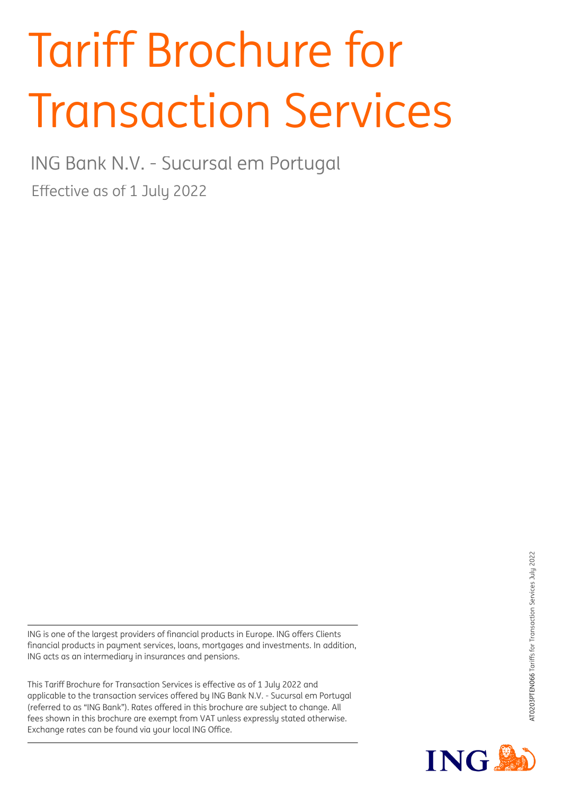# Tariff Brochure for Transaction Services

ING Bank N.V. - Sucursal em Portugal

Effective as of 1 July 2022

ING is one of the largest providers of financial products in Europe. ING offers Clients financial products in payment services, loans, mortgages and investments. In addition, ING acts as an intermediary in insurances and pensions.

This Tariff Brochure for Transaction Services is effective as of 1 July 2022 and applicable to the transaction services offered by ING Bank N.V. - Sucursal em Portugal (referred to as "ING Bank"). Rates offered in this brochure are subject to change. All fees shown in this brochure are exempt from VAT unless expressly stated otherwise. Exchange rates can be found via your local ING Office.

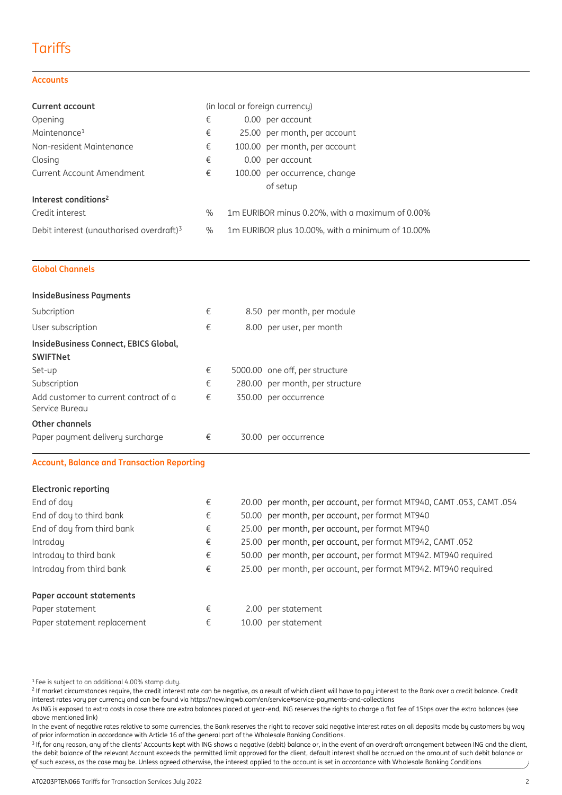# **Tariffs**

#### **Accounts**

| <b>Current account</b>                               | (in local or foreign currency) |                                                  |  |
|------------------------------------------------------|--------------------------------|--------------------------------------------------|--|
| Opening                                              | €                              | 0.00 per account                                 |  |
| Maintenance <sup>1</sup>                             | €                              | 25.00 per month, per account                     |  |
| Non-resident Maintenance                             | €                              | 100.00 per month, per account                    |  |
| Closing                                              | €                              | 0.00 per account                                 |  |
| <b>Current Account Amendment</b>                     | €                              | 100.00 per occurrence, change                    |  |
|                                                      |                                | of setup                                         |  |
| Interest conditions <sup>2</sup>                     |                                |                                                  |  |
| Credit interest                                      | $\%$                           | 1 m EURIBOR minus 0.20%, with a maximum of 0.00% |  |
| Debit interest (unauthorised overdraft) <sup>3</sup> | $\%$                           | 1m EURIBOR plus 10.00%, with a minimum of 10.00% |  |

#### **Global Channels**

| <b>InsideBusiness Payments</b>                          |   |                                                                      |
|---------------------------------------------------------|---|----------------------------------------------------------------------|
| Subcription                                             | € | 8.50 per month, per module                                           |
| User subscription                                       | € | 8.00 per user, per month                                             |
| InsideBusiness Connect, EBICS Global,                   |   |                                                                      |
| <b>SWIFTNet</b>                                         |   |                                                                      |
| Set-up                                                  | € | 5000.00 one off, per structure                                       |
| Subscription                                            | € | 280.00 per month, per structure                                      |
| Add customer to current contract of a<br>Service Bureau | € | 350.00 per occurrence                                                |
| Other channels                                          |   |                                                                      |
| Paper payment delivery surcharge                        | € | 30.00 per occurrence                                                 |
| <b>Account, Balance and Transaction Reporting</b>       |   |                                                                      |
| <b>Electronic reporting</b>                             |   |                                                                      |
| Fnd of dau                                              | € | 20.00 per month, per account, per format MT940, CAMT, 053, CAMT, 054 |

| End of day                  | € | 20.00 per month, per account, per format MT940, CAMT .053, CAMT .054 |  |
|-----------------------------|---|----------------------------------------------------------------------|--|
| End of day to third bank    | € | 50.00 per month, per account, per format MT940                       |  |
| End of day from third bank  | € | 25.00 per month, per account, per format MT940                       |  |
| Intraday                    | € | 25.00 per month, per account, per format MT942, CAMT .052            |  |
| Intraday to third bank      | € | 50.00 per month, per account, per format MT942. MT940 required       |  |
| Intraday from third bank    | € | 25.00 per month, per account, per format MT942. MT940 required       |  |
| Paper account statements    |   |                                                                      |  |
| Paper statement             | € | 2.00 per statement                                                   |  |
| Paper statement replacement | € | 10.00 per statement                                                  |  |
|                             |   |                                                                      |  |

<sup>1</sup>Fee is subject to an additional 4.00% stamp duty.

 $^2$  If market circumstances require, the credit interest rate can be negative, as a result of which client will have to pay interest to the Bank over a credit balance. Credit interest rates vary per currency and can be found via https://new.ingwb.com/en/service#service-payments-and-collections

As ING is exposed to extra costs in case there are extra balances placed at year-end, ING reserves the rights to charge a flat fee of 15bps over the extra balances (see above mentioned link)

In the event of negative rates relative to some currencies, the Bank reserves the right to recover said negative interest rates on all deposits made by customers by way of prior information in accordance with Article 16 of the general part of the Wholesale Banking Conditions.

 $^3$  If, for any reason, any of the clients' Accounts kept with ING shows a negative (debit) balance or, in the event of an overdraft arrangement between ING and the client, the debit balance of the relevant Account exceeds the permitted limit approved for the client, default interest shall be accrued on the amount of such debit balance or of such excess, as the case may be. Unless agreed otherwise, the interest applied to the account is set in accordance with Wholesale Banking Conditions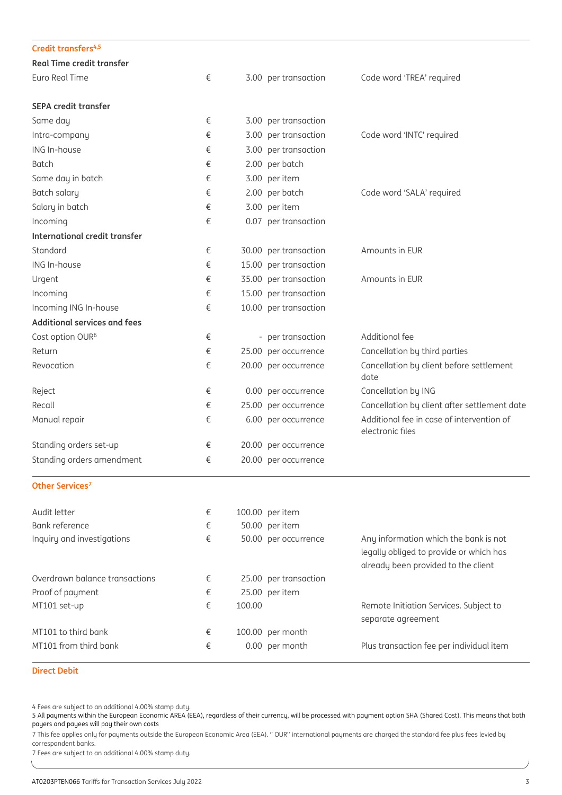| Credit transfers <sup>4,5</sup>     |   |        |                       |                                                                                                                         |
|-------------------------------------|---|--------|-----------------------|-------------------------------------------------------------------------------------------------------------------------|
| <b>Real Time credit transfer</b>    |   |        |                       |                                                                                                                         |
| Euro Real Time                      | € |        | 3.00 per transaction  | Code word 'TREA' required                                                                                               |
| <b>SEPA credit transfer</b>         |   |        |                       |                                                                                                                         |
| Same day                            | € |        | 3.00 per transaction  |                                                                                                                         |
| Intra-company                       | € |        | 3.00 per transaction  | Code word 'INTC' required                                                                                               |
| ING In-house                        | € |        | 3.00 per transaction  |                                                                                                                         |
| Batch                               | € |        | 2.00 per batch        |                                                                                                                         |
| Same day in batch                   | € |        | 3.00 per item         |                                                                                                                         |
| Batch salary                        | € |        | 2.00 per batch        | Code word 'SALA' required                                                                                               |
| Salary in batch                     | € |        | 3.00 per item         |                                                                                                                         |
| Incoming                            | € |        | 0.07 per transaction  |                                                                                                                         |
| International credit transfer       |   |        |                       |                                                                                                                         |
| Standard                            | € |        | 30.00 per transaction | Amounts in EUR                                                                                                          |
| ING In-house                        | € |        | 15.00 per transaction |                                                                                                                         |
| Urgent                              | € |        | 35.00 per transaction | Amounts in EUR                                                                                                          |
| Incoming                            | € |        | 15.00 per transaction |                                                                                                                         |
| Incoming ING In-house               | € |        | 10.00 per transaction |                                                                                                                         |
| <b>Additional services and fees</b> |   |        |                       |                                                                                                                         |
| Cost option OUR <sup>6</sup>        | € |        | - per transaction     | Additional fee                                                                                                          |
| Return                              | € |        | 25.00 per occurrence  | Cancellation by third parties                                                                                           |
| Revocation                          | € |        | 20.00 per occurrence  | Cancellation by client before settlement<br>date                                                                        |
| Reject                              | € |        | 0.00 per occurrence   | Cancellation by ING                                                                                                     |
| Recall                              | € |        | 25.00 per occurrence  | Cancellation by client after settlement date                                                                            |
| Manual repair                       | € |        | 6.00 per occurrence   | Additional fee in case of intervention of<br>electronic files                                                           |
| Standing orders set-up              | € |        | 20.00 per occurrence  |                                                                                                                         |
| Standing orders amendment           | € |        | 20.00 per occurrence  |                                                                                                                         |
| Other Services <sup>7</sup>         |   |        |                       |                                                                                                                         |
| Audit letter                        | € |        | 100.00 per item       |                                                                                                                         |
| Bank reference                      | € |        | 50.00 per item        |                                                                                                                         |
| Inquiry and investigations          | € |        | 50.00 per occurrence  | Any information which the bank is not<br>legally obliged to provide or which has<br>already been provided to the client |
| Overdrawn balance transactions      | € |        | 25.00 per transaction |                                                                                                                         |
| Proof of payment                    | € |        | 25.00 per item        |                                                                                                                         |
| MT101 set-up                        | € | 100.00 |                       | Remote Initiation Services. Subject to<br>separate agreement                                                            |
| MT101 to third bank                 | € |        | 100.00 per month      |                                                                                                                         |
| MT101 from third bank               | € |        | 0.00 per month        | Plus transaction fee per individual item                                                                                |

#### **Direct Debit**

4 Fees are subject to an additional 4.00% stamp duty.

5 All payments within the European Economic AREA (EEA), regardless of their currency, will be processed with payment option SHA (Shared Cost). This means that both payers and payees will pay their own costs

7 This fee applies only for payments outside the European Economic Area (EEA). '' OUR'' international payments are charged the standard fee plus fees levied by correspondent banks.

7 Fees are subject to an additional 4.00% stamp duty.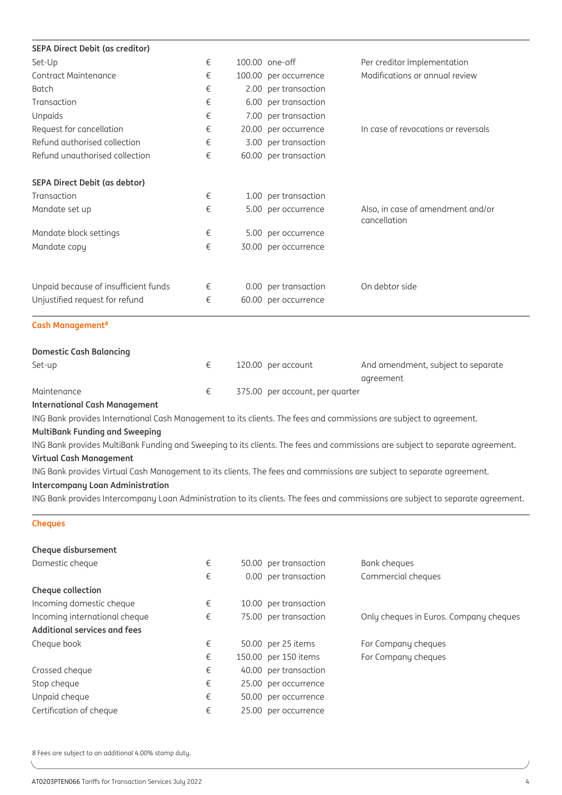| <b>SEPA Direct Debit (as creditor)</b>                                                                                |   |                                 |                                                                                                                                |
|-----------------------------------------------------------------------------------------------------------------------|---|---------------------------------|--------------------------------------------------------------------------------------------------------------------------------|
| Set-Up                                                                                                                | € | 100.00 one-off                  | Per creditor Implementation                                                                                                    |
| Contract Maintenance                                                                                                  | € | 100.00 per occurrence           | Modifications or annual review                                                                                                 |
| <b>Batch</b>                                                                                                          | € | 2.00 per transaction            |                                                                                                                                |
| Transaction                                                                                                           | € | 6.00 per transaction            |                                                                                                                                |
| Unpaids                                                                                                               | € | 7.00 per transaction            |                                                                                                                                |
| Request for cancellation                                                                                              | € | 20.00 per occurrence            | In case of revocations or reversals                                                                                            |
| Refund authorised collection                                                                                          | € | 3.00 per transaction            |                                                                                                                                |
| Refund unauthorised collection                                                                                        | € | 60.00 per transaction           |                                                                                                                                |
| SEPA Direct Debit (as debtor)                                                                                         |   |                                 |                                                                                                                                |
| Transaction                                                                                                           | € | 1.00 per transaction            |                                                                                                                                |
| Mandate set up                                                                                                        | € | 5.00 per occurrence             | Also, in case of amendment and/or<br>cancellation                                                                              |
| Mandate block settings                                                                                                | € | 5.00 per occurrence             |                                                                                                                                |
| Mandate copy                                                                                                          | € | 30.00 per occurrence            |                                                                                                                                |
| Unpaid because of insufficient funds                                                                                  | € | 0.00 per transaction            | On debtor side                                                                                                                 |
| Unjustified request for refund                                                                                        | € | 60.00 per occurrence            |                                                                                                                                |
| Cash Management <sup>8</sup>                                                                                          |   |                                 |                                                                                                                                |
| <b>Domestic Cash Balancing</b>                                                                                        |   |                                 |                                                                                                                                |
| Set-up                                                                                                                | € | 120.00 per account              | And amendment, subject to separate<br>agreement                                                                                |
| Maintenance                                                                                                           | € | 375.00 per account, per quarter |                                                                                                                                |
| <b>International Cash Management</b>                                                                                  |   |                                 |                                                                                                                                |
| ING Bank provides International Cash Management to its clients. The fees and commissions are subject to agreement.    |   |                                 |                                                                                                                                |
| <b>MultiBank Funding and Sweeping</b>                                                                                 |   |                                 |                                                                                                                                |
|                                                                                                                       |   |                                 | ING Bank provides MultiBank Funding and Sweeping to its clients. The fees and commissions are subject to separate agreement.   |
| <b>Virtual Cash Management</b>                                                                                        |   |                                 |                                                                                                                                |
| ING Bank provides Virtual Cash Management to its clients. The fees and commissions are subject to separate agreement. |   |                                 |                                                                                                                                |
| <b>Intercompany Loan Administration</b>                                                                               |   |                                 |                                                                                                                                |
|                                                                                                                       |   |                                 | ING Bank provides Intercompany Loan Administration to its clients. The fees and commissions are subject to separate agreement. |
|                                                                                                                       |   |                                 |                                                                                                                                |

#### **Cheques**

| Cheque disbursement           |   |                       |                                        |
|-------------------------------|---|-----------------------|----------------------------------------|
| Domestic cheque               | € | 50.00 per transaction | Bank cheques                           |
|                               | € | 0.00 per transaction  | Commercial cheques                     |
| Cheque collection             |   |                       |                                        |
| Incoming domestic cheque      | € | 10.00 per transaction |                                        |
| Incoming international cheque | € | 75.00 per transaction | Only cheques in Euros. Company cheques |
| Additional services and fees  |   |                       |                                        |
| Cheque book                   | € | 50.00 per 25 items    | For Company cheques                    |
|                               | € | 150.00 per 150 items  | For Company cheques                    |
| Crossed cheque                | € | 40.00 per transaction |                                        |
| Stop cheque                   | € | 25.00 per occurrence  |                                        |
| Unpaid cheque                 | € | 50.00 per occurrence  |                                        |
| Certification of cheque       | € | 25.00 per occurrence  |                                        |

8 Fees are subject to an additional 4.00% stamp duty.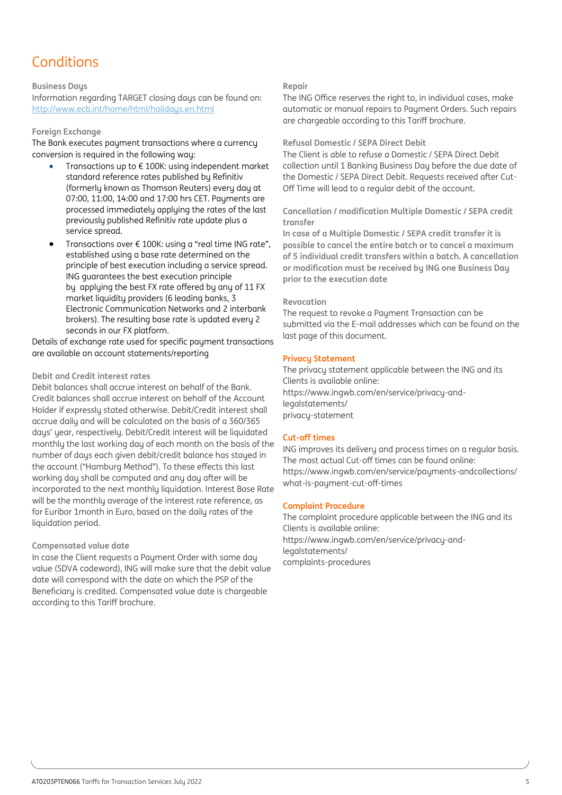# Conditions

#### **Business Daus**

**Compensated value date** Information regarding TARGET closing days can be found on: <http://www.ecb.int/home/html/holidays.en.html>

### this Tariff brochure. **Foreign Exchange**

**Repair** The Bank executes payment transactions where a currency

- Transactions up to  $\epsilon$  100K: using independent market **Refusal Domestic / SEPA Direct Debit** 07:00, 11:00, 14:00 and 17:00 hrs CET. Payments are or.co, 11.00, 1 i.00 and 17.00 insective agments are<br>processed immediately applying the rates of the last cancellation / modification Multiple Domestic / SEPA cre processed immediately applying the rates of the last concentration modification mattiple born<br>previously published Refinitiv rate update plus a regular to the account. standard reference rates published by Refinitiv (formerly known as Thomson Reuters) every day at service spread.
- Transactions over € 100K: using a "real time ING rate", pos Indisactions over a fool. daily a "reactime increact", "possible to cancel the entire batch or to cancel a maxim<br>
of 5 individual credit transfers within a batch. A cancello **execution date** ING guarantees the best execution principle by applying the best FX rate offered by any of 11 FX market liquidity providers (6 leading banks, 3 Electronic Communication Networks and 2 interbank brokers). The resulting base rate is updated every 2 seconds in our FX platform.

Details of exchange rate used for specific payment transactions are available on account statements/reporting

#### **Debit and Credit interest rates**

Debit balances shall accrue interest on behalf of the Bank. Credit balances shall accrue interest on behalf of the Account Holder if expressly stated otherwise. Debit/Credit interest shall accrue daily and will be calculated on the basis of a 360/365 daus' year, respectively. Debit/Credit interest will be liquidated monthly the last working day of each month on the basis of the number of days each given debit/credit balance has stayed in the account ("Hamburg Method"). To these effects this last working day shall be computed and any day after will be incorporated to the next monthly liquidation. Interest Base Rate will be the monthly average of the interest rate reference, as for Euribor 1month in Euro, based on the daily rates of the liquidation period.

#### **Compensated value date**

In case the Client requests a Payment Order with same day value (SDVA codeword), ING will make sure that the debit value date will correspond with the date on which the PSP of the Beneficiary is credited. Compensated value date is chargeable according to this Tariff brochure.

#### **Repair**

Information regulating randar closing aags can be found on. The this once reserves the right to, in manualactuses, make that the debit value of the debit value date in the debit value date in the debit value of the debit v nttp://www.eco.int/nome/ntm/nolidags.en.ntm/newsecompensation at the according to the Beneficiary is complement<br>are chargeable according to this Tariff brochure. The ING Office reserves the right to, in individual cases, make

#### **Refusal Domestic / SEPA Direct Debit**

The ING Office reserves the right to, in individual cases, make automatic or manual repairs to Payment Orders. Such repairs are conversion is required in the following way: The Client is able to refuse a Domestic / SEPA Direct Debit collection until 1 Banking Business Day before the due date of the Domestic / SEPA Direct Debit. Requests received after Cut-Off Time will lead to a regular debit of the account.

> **Cancellation / modification Multiple Domestic / SEPA credit transfer**

**individual credit transfers within a batch. A cancellation or modification must be received by ING one Business Day prior to the**  principle of best execution including a service spread. **In case of a Multiple Domestic / SEPA credit transfer it is possible to cancel the entire batch or to cancel a maximum of 5 individual credit transfers within a batch. A cancellation or modification must be received by ING one Business Day prior to the execution date**

#### **Revocation**

The request to revoke a Payment Transaction can be submitted via the E-mail addresses which can be found on the last page of this document.

#### **Privacy Statement**

The privacy statement applicable between the ING and its Clients is available online: https://www.ingwb.com/en/service/privacy-andlegalstatements/ privacy-statement

#### **Cut-off times**

ING improves its delivery and process times on a regular basis. The most actual Cut-off times can be found online: https://www.ingwb.com/en/service/payments-andcollections/ what-is-payment-cut-off-times

#### **Complaint Procedure**

The complaint procedure applicable between the ING and its Clients is available online: https://www.ingwb.com/en/service/privacy-andlegalstatements/ complaints-procedures